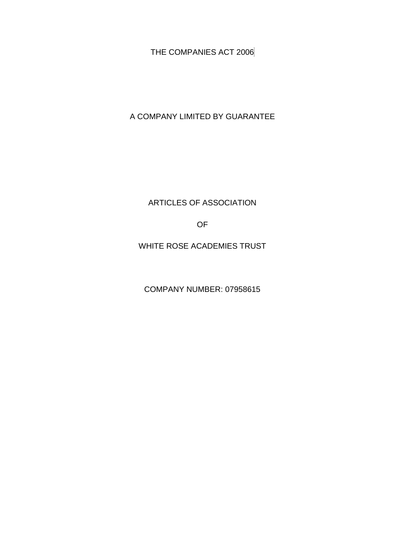THE COMPANIES ACT 2006

A COMPANY LIMITED BY GUARANTEE

ARTICLES OF ASSOCIATION

OF

WHITE ROSE ACADEMIES TRUST

COMPANY NUMBER: 07958615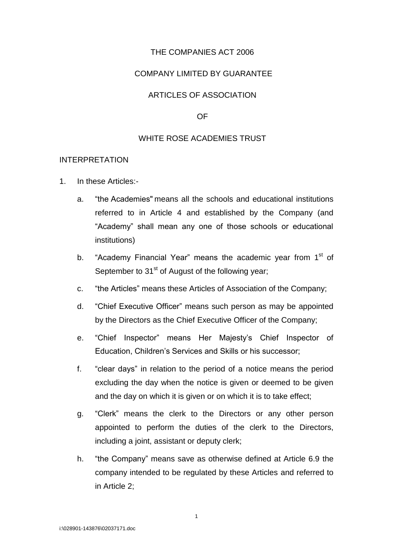# THE COMPANIES ACT 2006

### COMPANY LIMITED BY GUARANTEE

### ARTICLES OF ASSOCIATION

#### OF

### WHITE ROSE ACADEMIES TRUST

#### INTERPRETATION

- 1. In these Articles:
	- a. "the Academies" means all the schools and educational institutions referred to in Article 4 and established by the Company (and "Academy" shall mean any one of those schools or educational institutions)
	- b. "Academy Financial Year" means the academic year from 1<sup>st</sup> of September to 31<sup>st</sup> of August of the following year;
	- c. "the Articles" means these Articles of Association of the Company;
	- d. "Chief Executive Officer" means such person as may be appointed by the Directors as the Chief Executive Officer of the Company;
	- e. "Chief Inspector" means Her Majesty's Chief Inspector of Education, Children's Services and Skills or his successor;
	- f. "clear days" in relation to the period of a notice means the period excluding the day when the notice is given or deemed to be given and the day on which it is given or on which it is to take effect;
	- g. "Clerk" means the clerk to the Directors or any other person appointed to perform the duties of the clerk to the Directors, including a joint, assistant or deputy clerk;
	- h. "the Company" means save as otherwise defined at Article 6.9 the company intended to be regulated by these Articles and referred to in Article 2;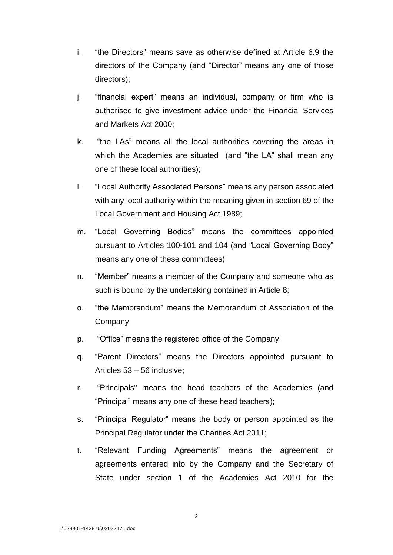- i. "the Directors" means save as otherwise defined at Article 6.9 the directors of the Company (and "Director" means any one of those directors);
- j. "financial expert" means an individual, company or firm who is authorised to give investment advice under the Financial Services and Markets Act 2000;
- k. "the LAs" means all the local authorities covering the areas in which the Academies are situated (and "the LA" shall mean any one of these local authorities);
- l. "Local Authority Associated Persons" means any person associated with any local authority within the meaning given in section 69 of the Local Government and Housing Act 1989;
- m. "Local Governing Bodies" means the committees appointed pursuant to Articles 100-101 and 104 (and "Local Governing Body" means any one of these committees);
- n. "Member" means a member of the Company and someone who as such is bound by the undertaking contained in Article 8;
- o. "the Memorandum" means the Memorandum of Association of the Company;
- p. "Office" means the registered office of the Company;
- q. "Parent Directors" means the Directors appointed pursuant to Articles 53 – 56 inclusive;
- r. "Principals" means the head teachers of the Academies (and "Principal" means any one of these head teachers);
- s. "Principal Regulator" means the body or person appointed as the Principal Regulator under the Charities Act 2011;
- t. "Relevant Funding Agreements" means the agreement or agreements entered into by the Company and the Secretary of State under section 1 of the Academies Act 2010 for the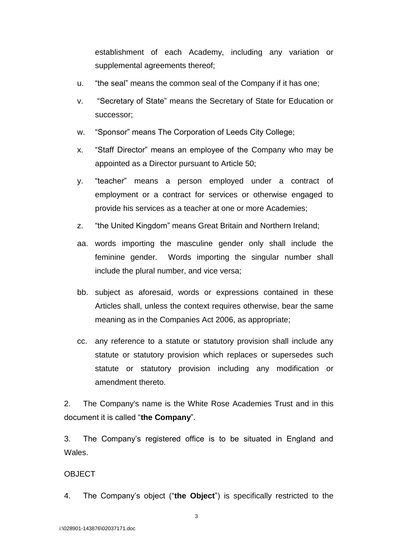establishment of each Academy, including any variation or supplemental agreements thereof;

- u. "the seal" means the common seal of the Company if it has one;
- v. "Secretary of State" means the Secretary of State for Education or successor;
- w. "Sponsor" means The Corporation of Leeds City College;
- x. "Staff Director" means an employee of the Company who may be appointed as a Director pursuant to Article 50;
- y. "teacher" means a person employed under a contract of employment or a contract for services or otherwise engaged to provide his services as a teacher at one or more Academies;
- z. "the United Kingdom" means Great Britain and Northern Ireland;
- aa. words importing the masculine gender only shall include the feminine gender. Words importing the singular number shall include the plural number, and vice versa;
- bb. subject as aforesaid, words or expressions contained in these Articles shall, unless the context requires otherwise, bear the same meaning as in the Companies Act 2006, as appropriate;
- cc. any reference to a statute or statutory provision shall include any statute or statutory provision which replaces or supersedes such statute or statutory provision including any modification or amendment thereto.

2. The Company's name is the White Rose Academies Trust and in this document it is called "**the Company**".

3. The Company's registered office is to be situated in England and **Wales** 

### OBJECT

4. The Company's object ("**the Object**") is specifically restricted to the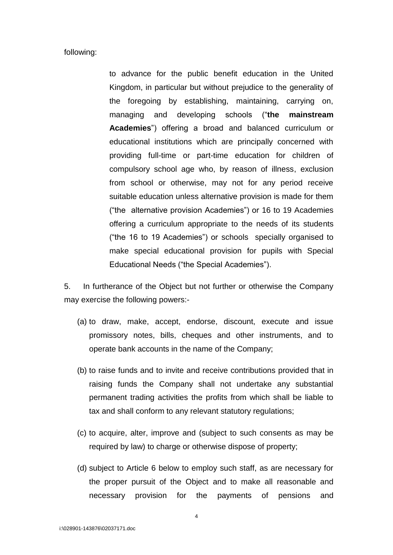#### following:

to advance for the public benefit education in the United Kingdom, in particular but without prejudice to the generality of the foregoing by establishing, maintaining, carrying on, managing and developing schools ("**the mainstream Academies**") offering a broad and balanced curriculum or educational institutions which are principally concerned with providing full-time or part-time education for children of compulsory school age who, by reason of illness, exclusion from school or otherwise, may not for any period receive suitable education unless alternative provision is made for them ("the alternative provision Academies") or 16 to 19 Academies offering a curriculum appropriate to the needs of its students ("the 16 to 19 Academies") or schools specially organised to make special educational provision for pupils with Special Educational Needs ("the Special Academies").

5. In furtherance of the Object but not further or otherwise the Company may exercise the following powers:-

- (a) to draw, make, accept, endorse, discount, execute and issue promissory notes, bills, cheques and other instruments, and to operate bank accounts in the name of the Company;
- (b) to raise funds and to invite and receive contributions provided that in raising funds the Company shall not undertake any substantial permanent trading activities the profits from which shall be liable to tax and shall conform to any relevant statutory regulations;
- (c) to acquire, alter, improve and (subject to such consents as may be required by law) to charge or otherwise dispose of property;
- (d) subject to Article 6 below to employ such staff, as are necessary for the proper pursuit of the Object and to make all reasonable and necessary provision for the payments of pensions and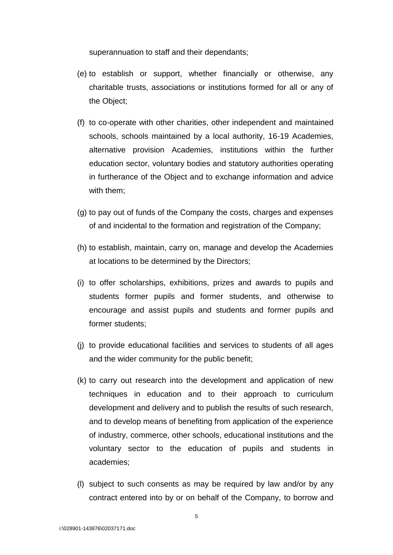superannuation to staff and their dependants;

- (e) to establish or support, whether financially or otherwise, any charitable trusts, associations or institutions formed for all or any of the Object;
- (f) to co-operate with other charities, other independent and maintained schools, schools maintained by a local authority, 16-19 Academies, alternative provision Academies, institutions within the further education sector, voluntary bodies and statutory authorities operating in furtherance of the Object and to exchange information and advice with them:
- (g) to pay out of funds of the Company the costs, charges and expenses of and incidental to the formation and registration of the Company;
- (h) to establish, maintain, carry on, manage and develop the Academies at locations to be determined by the Directors;
- (i) to offer scholarships, exhibitions, prizes and awards to pupils and students former pupils and former students, and otherwise to encourage and assist pupils and students and former pupils and former students;
- (j) to provide educational facilities and services to students of all ages and the wider community for the public benefit;
- (k) to carry out research into the development and application of new techniques in education and to their approach to curriculum development and delivery and to publish the results of such research, and to develop means of benefiting from application of the experience of industry, commerce, other schools, educational institutions and the voluntary sector to the education of pupils and students in academies;
- (l) subject to such consents as may be required by law and/or by any contract entered into by or on behalf of the Company, to borrow and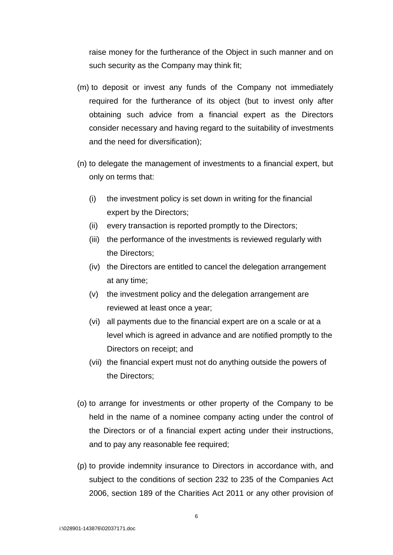raise money for the furtherance of the Object in such manner and on such security as the Company may think fit;

- (m) to deposit or invest any funds of the Company not immediately required for the furtherance of its object (but to invest only after obtaining such advice from a financial expert as the Directors consider necessary and having regard to the suitability of investments and the need for diversification);
- (n) to delegate the management of investments to a financial expert, but only on terms that:
	- (i) the investment policy is set down in writing for the financial expert by the Directors;
	- (ii) every transaction is reported promptly to the Directors;
	- (iii) the performance of the investments is reviewed regularly with the Directors;
	- (iv) the Directors are entitled to cancel the delegation arrangement at any time;
	- (v) the investment policy and the delegation arrangement are reviewed at least once a year;
	- (vi) all payments due to the financial expert are on a scale or at a level which is agreed in advance and are notified promptly to the Directors on receipt; and
	- (vii) the financial expert must not do anything outside the powers of the Directors;
- (o) to arrange for investments or other property of the Company to be held in the name of a nominee company acting under the control of the Directors or of a financial expert acting under their instructions, and to pay any reasonable fee required;
- (p) to provide indemnity insurance to Directors in accordance with, and subject to the conditions of section 232 to 235 of the Companies Act 2006, section 189 of the Charities Act 2011 or any other provision of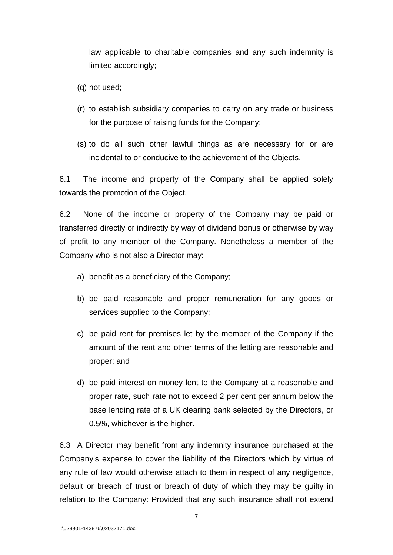law applicable to charitable companies and any such indemnity is limited accordingly;

- (q) not used;
- (r) to establish subsidiary companies to carry on any trade or business for the purpose of raising funds for the Company;
- (s) to do all such other lawful things as are necessary for or are incidental to or conducive to the achievement of the Objects.

6.1 The income and property of the Company shall be applied solely towards the promotion of the Object.

6.2 None of the income or property of the Company may be paid or transferred directly or indirectly by way of dividend bonus or otherwise by way of profit to any member of the Company. Nonetheless a member of the Company who is not also a Director may:

- a) benefit as a beneficiary of the Company;
- b) be paid reasonable and proper remuneration for any goods or services supplied to the Company;
- c) be paid rent for premises let by the member of the Company if the amount of the rent and other terms of the letting are reasonable and proper; and
- d) be paid interest on money lent to the Company at a reasonable and proper rate, such rate not to exceed 2 per cent per annum below the base lending rate of a UK clearing bank selected by the Directors, or 0.5%, whichever is the higher.

6.3 A Director may benefit from any indemnity insurance purchased at the Company's expense to cover the liability of the Directors which by virtue of any rule of law would otherwise attach to them in respect of any negligence, default or breach of trust or breach of duty of which they may be guilty in relation to the Company: Provided that any such insurance shall not extend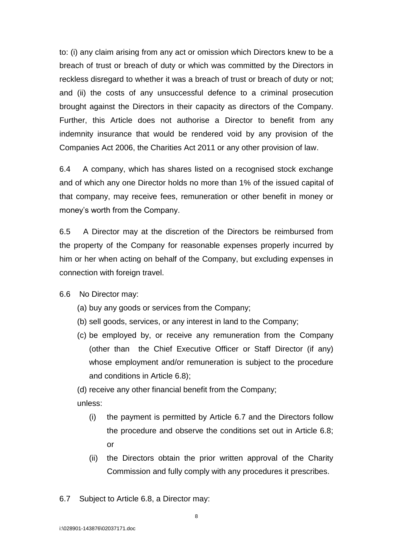to: (i) any claim arising from any act or omission which Directors knew to be a breach of trust or breach of duty or which was committed by the Directors in reckless disregard to whether it was a breach of trust or breach of duty or not; and (ii) the costs of any unsuccessful defence to a criminal prosecution brought against the Directors in their capacity as directors of the Company. Further, this Article does not authorise a Director to benefit from any indemnity insurance that would be rendered void by any provision of the Companies Act 2006, the Charities Act 2011 or any other provision of law.

6.4 A company, which has shares listed on a recognised stock exchange and of which any one Director holds no more than 1% of the issued capital of that company, may receive fees, remuneration or other benefit in money or money's worth from the Company.

6.5 A Director may at the discretion of the Directors be reimbursed from the property of the Company for reasonable expenses properly incurred by him or her when acting on behalf of the Company, but excluding expenses in connection with foreign travel.

6.6 No Director may:

- (a) buy any goods or services from the Company;
- (b) sell goods, services, or any interest in land to the Company;
- (c) be employed by, or receive any remuneration from the Company (other than the Chief Executive Officer or Staff Director (if any) whose employment and/or remuneration is subject to the procedure and conditions in Article 6.8);

(d) receive any other financial benefit from the Company;

unless:

- (i) the payment is permitted by Article 6.7 and the Directors follow the procedure and observe the conditions set out in Article 6.8; or
- (ii) the Directors obtain the prior written approval of the Charity Commission and fully comply with any procedures it prescribes.
- 6.7 Subject to Article 6.8, a Director may: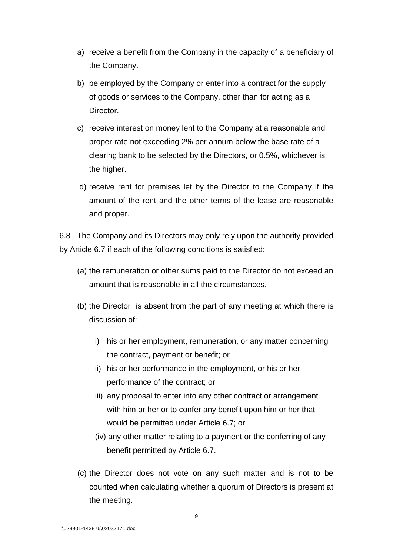- a) receive a benefit from the Company in the capacity of a beneficiary of the Company.
- b) be employed by the Company or enter into a contract for the supply of goods or services to the Company, other than for acting as a Director.
- c) receive interest on money lent to the Company at a reasonable and proper rate not exceeding 2% per annum below the base rate of a clearing bank to be selected by the Directors, or 0.5%, whichever is the higher.
- d) receive rent for premises let by the Director to the Company if the amount of the rent and the other terms of the lease are reasonable and proper.

6.8 The Company and its Directors may only rely upon the authority provided by Article 6.7 if each of the following conditions is satisfied:

- (a) the remuneration or other sums paid to the Director do not exceed an amount that is reasonable in all the circumstances.
- (b) the Director is absent from the part of any meeting at which there is discussion of:
	- i) his or her employment, remuneration, or any matter concerning the contract, payment or benefit; or
	- ii) his or her performance in the employment, or his or her performance of the contract; or
	- iii) any proposal to enter into any other contract or arrangement with him or her or to confer any benefit upon him or her that would be permitted under Article 6.7; or
	- (iv) any other matter relating to a payment or the conferring of any benefit permitted by Article 6.7.
- (c) the Director does not vote on any such matter and is not to be counted when calculating whether a quorum of Directors is present at the meeting.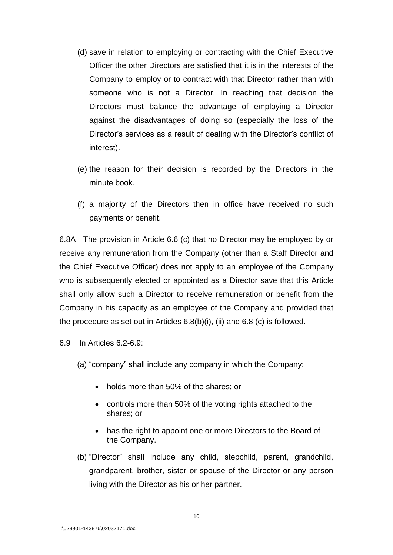- (d) save in relation to employing or contracting with the Chief Executive Officer the other Directors are satisfied that it is in the interests of the Company to employ or to contract with that Director rather than with someone who is not a Director. In reaching that decision the Directors must balance the advantage of employing a Director against the disadvantages of doing so (especially the loss of the Director's services as a result of dealing with the Director's conflict of interest).
- (e) the reason for their decision is recorded by the Directors in the minute book.
- (f) a majority of the Directors then in office have received no such payments or benefit.

6.8A The provision in Article 6.6 (c) that no Director may be employed by or receive any remuneration from the Company (other than a Staff Director and the Chief Executive Officer) does not apply to an employee of the Company who is subsequently elected or appointed as a Director save that this Article shall only allow such a Director to receive remuneration or benefit from the Company in his capacity as an employee of the Company and provided that the procedure as set out in Articles 6.8(b)(i), (ii) and 6.8 (c) is followed.

6.9 In Articles 6.2-6.9:

- (a) "company" shall include any company in which the Company:
	- holds more than 50% of the shares; or
	- controls more than 50% of the voting rights attached to the shares; or
	- has the right to appoint one or more Directors to the Board of the Company.
- (b) "Director" shall include any child, stepchild, parent, grandchild, grandparent, brother, sister or spouse of the Director or any person living with the Director as his or her partner.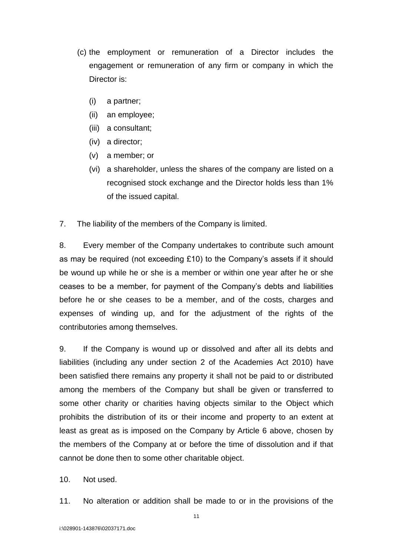- (c) the employment or remuneration of a Director includes the engagement or remuneration of any firm or company in which the Director is:
	- (i) a partner;
	- (ii) an employee;
	- (iii) a consultant;
	- (iv) a director;
	- (v) a member; or
	- (vi) a shareholder, unless the shares of the company are listed on a recognised stock exchange and the Director holds less than 1% of the issued capital.
- 7. The liability of the members of the Company is limited.

8. Every member of the Company undertakes to contribute such amount as may be required (not exceeding £10) to the Company's assets if it should be wound up while he or she is a member or within one year after he or she ceases to be a member, for payment of the Company's debts and liabilities before he or she ceases to be a member, and of the costs, charges and expenses of winding up, and for the adjustment of the rights of the contributories among themselves.

9. If the Company is wound up or dissolved and after all its debts and liabilities (including any under section 2 of the Academies Act 2010) have been satisfied there remains any property it shall not be paid to or distributed among the members of the Company but shall be given or transferred to some other charity or charities having objects similar to the Object which prohibits the distribution of its or their income and property to an extent at least as great as is imposed on the Company by Article 6 above, chosen by the members of the Company at or before the time of dissolution and if that cannot be done then to some other charitable object.

- 10. Not used.
- 11. No alteration or addition shall be made to or in the provisions of the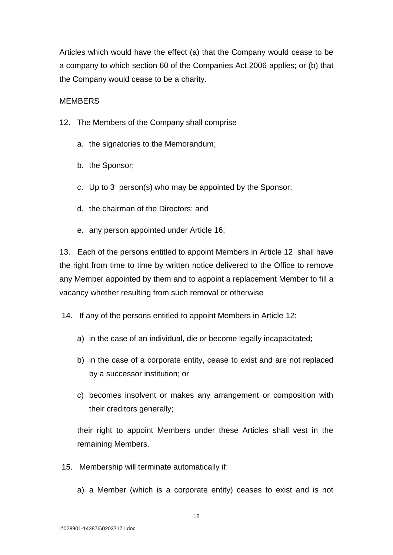Articles which would have the effect (a) that the Company would cease to be a company to which section 60 of the Companies Act 2006 applies; or (b) that the Company would cease to be a charity.

# MEMBERS

- 12. The Members of the Company shall comprise
	- a. the signatories to the Memorandum;
	- b. the Sponsor;
	- c. Up to 3 person(s) who may be appointed by the Sponsor;
	- d. the chairman of the Directors; and
	- e. any person appointed under Article 16;

13. Each of the persons entitled to appoint Members in Article 12 shall have the right from time to time by written notice delivered to the Office to remove any Member appointed by them and to appoint a replacement Member to fill a vacancy whether resulting from such removal or otherwise

14. If any of the persons entitled to appoint Members in Article 12:

- a) in the case of an individual, die or become legally incapacitated;
- b) in the case of a corporate entity, cease to exist and are not replaced by a successor institution; or
- c) becomes insolvent or makes any arrangement or composition with their creditors generally;

their right to appoint Members under these Articles shall vest in the remaining Members.

- 15. Membership will terminate automatically if:
	- a) a Member (which is a corporate entity) ceases to exist and is not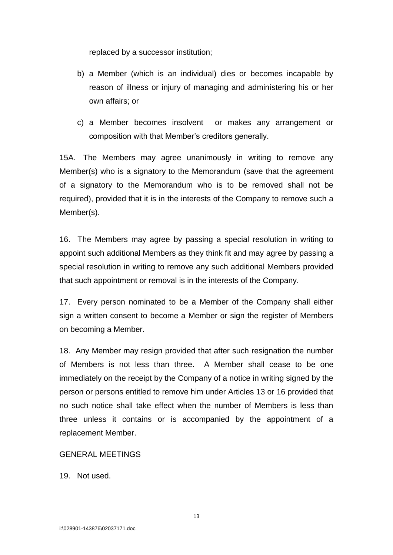replaced by a successor institution;

- b) a Member (which is an individual) dies or becomes incapable by reason of illness or injury of managing and administering his or her own affairs; or
- c) a Member becomes insolvent or makes any arrangement or composition with that Member's creditors generally.

15A. The Members may agree unanimously in writing to remove any Member(s) who is a signatory to the Memorandum (save that the agreement of a signatory to the Memorandum who is to be removed shall not be required), provided that it is in the interests of the Company to remove such a Member(s).

16. The Members may agree by passing a special resolution in writing to appoint such additional Members as they think fit and may agree by passing a special resolution in writing to remove any such additional Members provided that such appointment or removal is in the interests of the Company.

17. Every person nominated to be a Member of the Company shall either sign a written consent to become a Member or sign the register of Members on becoming a Member.

18. Any Member may resign provided that after such resignation the number of Members is not less than three. A Member shall cease to be one immediately on the receipt by the Company of a notice in writing signed by the person or persons entitled to remove him under Articles 13 or 16 provided that no such notice shall take effect when the number of Members is less than three unless it contains or is accompanied by the appointment of a replacement Member.

# GENERAL MEETINGS

19. Not used.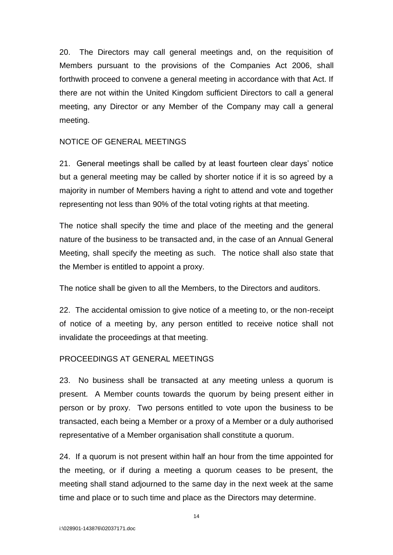20. The Directors may call general meetings and, on the requisition of Members pursuant to the provisions of the Companies Act 2006, shall forthwith proceed to convene a general meeting in accordance with that Act. If there are not within the United Kingdom sufficient Directors to call a general meeting, any Director or any Member of the Company may call a general meeting.

### NOTICE OF GENERAL MEETINGS

21. General meetings shall be called by at least fourteen clear days' notice but a general meeting may be called by shorter notice if it is so agreed by a majority in number of Members having a right to attend and vote and together representing not less than 90% of the total voting rights at that meeting.

The notice shall specify the time and place of the meeting and the general nature of the business to be transacted and, in the case of an Annual General Meeting, shall specify the meeting as such. The notice shall also state that the Member is entitled to appoint a proxy.

The notice shall be given to all the Members, to the Directors and auditors.

22. The accidental omission to give notice of a meeting to, or the non-receipt of notice of a meeting by, any person entitled to receive notice shall not invalidate the proceedings at that meeting.

# PROCEEDINGS AT GENERAL MEETINGS

23. No business shall be transacted at any meeting unless a quorum is present. A Member counts towards the quorum by being present either in person or by proxy. Two persons entitled to vote upon the business to be transacted, each being a Member or a proxy of a Member or a duly authorised representative of a Member organisation shall constitute a quorum.

24. If a quorum is not present within half an hour from the time appointed for the meeting, or if during a meeting a quorum ceases to be present, the meeting shall stand adjourned to the same day in the next week at the same time and place or to such time and place as the Directors may determine.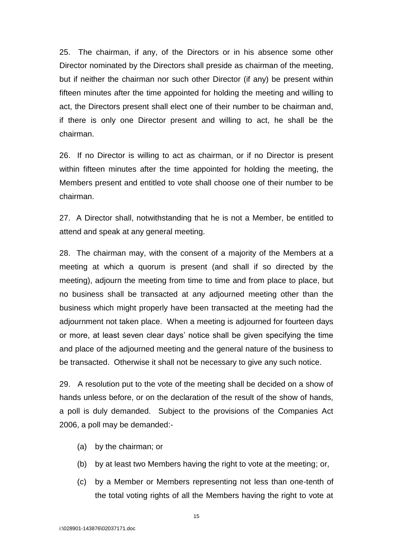25. The chairman, if any, of the Directors or in his absence some other Director nominated by the Directors shall preside as chairman of the meeting, but if neither the chairman nor such other Director (if any) be present within fifteen minutes after the time appointed for holding the meeting and willing to act, the Directors present shall elect one of their number to be chairman and, if there is only one Director present and willing to act, he shall be the chairman.

26. If no Director is willing to act as chairman, or if no Director is present within fifteen minutes after the time appointed for holding the meeting, the Members present and entitled to vote shall choose one of their number to be chairman.

27. A Director shall, notwithstanding that he is not a Member, be entitled to attend and speak at any general meeting.

28. The chairman may, with the consent of a majority of the Members at a meeting at which a quorum is present (and shall if so directed by the meeting), adjourn the meeting from time to time and from place to place, but no business shall be transacted at any adjourned meeting other than the business which might properly have been transacted at the meeting had the adjournment not taken place. When a meeting is adjourned for fourteen days or more, at least seven clear days' notice shall be given specifying the time and place of the adjourned meeting and the general nature of the business to be transacted. Otherwise it shall not be necessary to give any such notice.

29. A resolution put to the vote of the meeting shall be decided on a show of hands unless before, or on the declaration of the result of the show of hands, a poll is duly demanded. Subject to the provisions of the Companies Act 2006, a poll may be demanded:-

- (a) by the chairman; or
- (b) by at least two Members having the right to vote at the meeting; or,
- (c) by a Member or Members representing not less than one-tenth of the total voting rights of all the Members having the right to vote at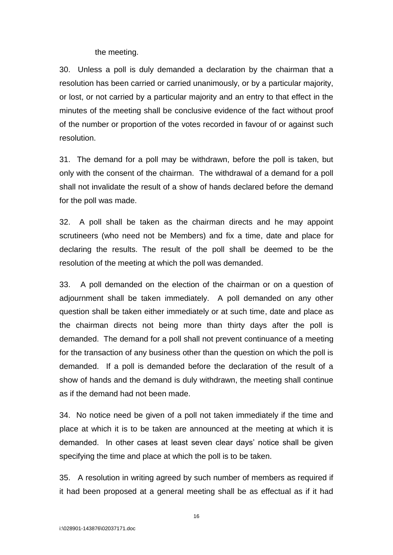the meeting.

30. Unless a poll is duly demanded a declaration by the chairman that a resolution has been carried or carried unanimously, or by a particular majority, or lost, or not carried by a particular majority and an entry to that effect in the minutes of the meeting shall be conclusive evidence of the fact without proof of the number or proportion of the votes recorded in favour of or against such resolution.

31. The demand for a poll may be withdrawn, before the poll is taken, but only with the consent of the chairman. The withdrawal of a demand for a poll shall not invalidate the result of a show of hands declared before the demand for the poll was made.

32. A poll shall be taken as the chairman directs and he may appoint scrutineers (who need not be Members) and fix a time, date and place for declaring the results. The result of the poll shall be deemed to be the resolution of the meeting at which the poll was demanded.

33. A poll demanded on the election of the chairman or on a question of adjournment shall be taken immediately. A poll demanded on any other question shall be taken either immediately or at such time, date and place as the chairman directs not being more than thirty days after the poll is demanded. The demand for a poll shall not prevent continuance of a meeting for the transaction of any business other than the question on which the poll is demanded. If a poll is demanded before the declaration of the result of a show of hands and the demand is duly withdrawn, the meeting shall continue as if the demand had not been made.

34. No notice need be given of a poll not taken immediately if the time and place at which it is to be taken are announced at the meeting at which it is demanded. In other cases at least seven clear days' notice shall be given specifying the time and place at which the poll is to be taken.

35. A resolution in writing agreed by such number of members as required if it had been proposed at a general meeting shall be as effectual as if it had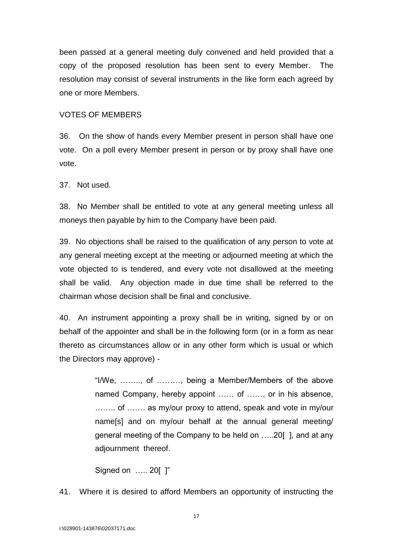been passed at a general meeting duly convened and held provided that a copy of the proposed resolution has been sent to every Member. The resolution may consist of several instruments in the like form each agreed by one or more Members.

### VOTES OF MEMBERS

36. On the show of hands every Member present in person shall have one vote. On a poll every Member present in person or by proxy shall have one vote.

37. Not used.

38. No Member shall be entitled to vote at any general meeting unless all moneys then payable by him to the Company have been paid.

39. No objections shall be raised to the qualification of any person to vote at any general meeting except at the meeting or adjourned meeting at which the vote objected to is tendered, and every vote not disallowed at the meeting shall be valid. Any objection made in due time shall be referred to the chairman whose decision shall be final and conclusive.

40. An instrument appointing a proxy shall be in writing, signed by or on behalf of the appointer and shall be in the following form (or in a form as near thereto as circumstances allow or in any other form which is usual or which the Directors may approve) -

> "I/We, …….., of ………, being a Member/Members of the above named Company, hereby appoint …… of ……, or in his absence, …….. of ……. as my/our proxy to attend, speak and vote in my/our name[s] and on my/our behalf at the annual general meeting/ general meeting of the Company to be held on …..20[ ], and at any adjournment thereof.

Signed on ….. 20[ ]"

41. Where it is desired to afford Members an opportunity of instructing the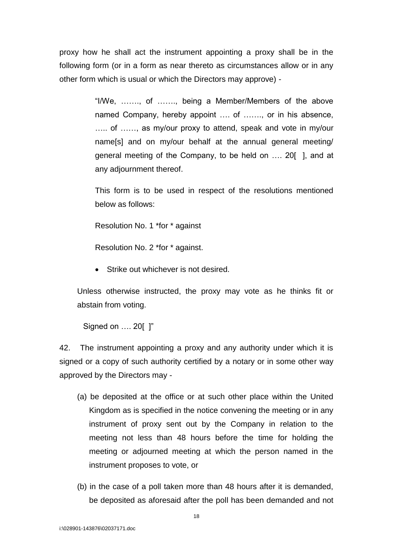proxy how he shall act the instrument appointing a proxy shall be in the following form (or in a form as near thereto as circumstances allow or in any other form which is usual or which the Directors may approve) -

> "I/We, ……., of ……., being a Member/Members of the above named Company, hereby appoint .... of ......., or in his absence, ….. of ……, as my/our proxy to attend, speak and vote in my/our name[s] and on my/our behalf at the annual general meeting/ general meeting of the Company, to be held on …. 20[ ], and at any adjournment thereof.

> This form is to be used in respect of the resolutions mentioned below as follows:

Resolution No. 1 \*for \* against

Resolution No. 2 \*for \* against.

• Strike out whichever is not desired.

Unless otherwise instructed, the proxy may vote as he thinks fit or abstain from voting.

Signed on …. 20[ ]"

42. The instrument appointing a proxy and any authority under which it is signed or a copy of such authority certified by a notary or in some other way approved by the Directors may -

- (a) be deposited at the office or at such other place within the United Kingdom as is specified in the notice convening the meeting or in any instrument of proxy sent out by the Company in relation to the meeting not less than 48 hours before the time for holding the meeting or adjourned meeting at which the person named in the instrument proposes to vote, or
- (b) in the case of a poll taken more than 48 hours after it is demanded, be deposited as aforesaid after the poll has been demanded and not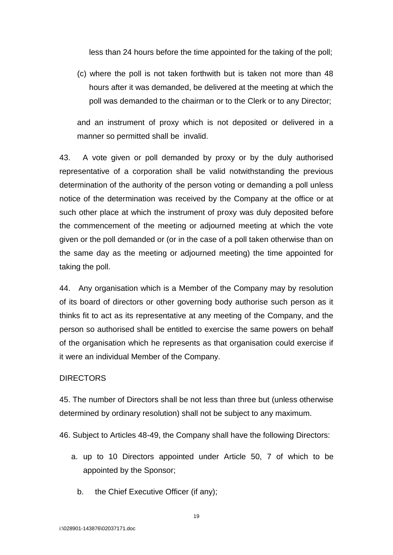less than 24 hours before the time appointed for the taking of the poll;

(c) where the poll is not taken forthwith but is taken not more than 48 hours after it was demanded, be delivered at the meeting at which the poll was demanded to the chairman or to the Clerk or to any Director;

and an instrument of proxy which is not deposited or delivered in a manner so permitted shall be invalid.

43. A vote given or poll demanded by proxy or by the duly authorised representative of a corporation shall be valid notwithstanding the previous determination of the authority of the person voting or demanding a poll unless notice of the determination was received by the Company at the office or at such other place at which the instrument of proxy was duly deposited before the commencement of the meeting or adjourned meeting at which the vote given or the poll demanded or (or in the case of a poll taken otherwise than on the same day as the meeting or adjourned meeting) the time appointed for taking the poll.

44. Any organisation which is a Member of the Company may by resolution of its board of directors or other governing body authorise such person as it thinks fit to act as its representative at any meeting of the Company, and the person so authorised shall be entitled to exercise the same powers on behalf of the organisation which he represents as that organisation could exercise if it were an individual Member of the Company.

# **DIRECTORS**

45. The number of Directors shall be not less than three but (unless otherwise determined by ordinary resolution) shall not be subject to any maximum.

46. Subject to Articles 48-49, the Company shall have the following Directors:

- a. up to 10 Directors appointed under Article 50, 7 of which to be appointed by the Sponsor;
	- b. the Chief Executive Officer (if any);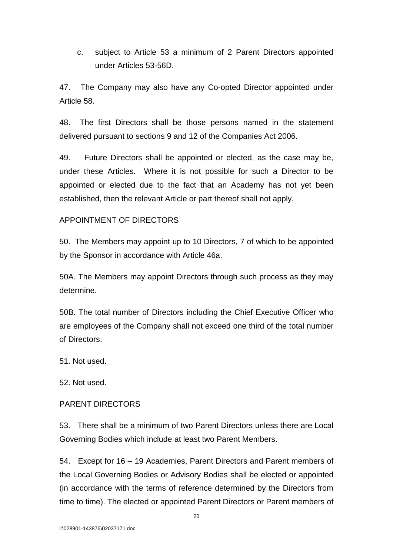c. subject to Article 53 a minimum of 2 Parent Directors appointed under Articles 53-56D.

47. The Company may also have any Co-opted Director appointed under Article 58.

48. The first Directors shall be those persons named in the statement delivered pursuant to sections 9 and 12 of the Companies Act 2006.

49. Future Directors shall be appointed or elected, as the case may be, under these Articles. Where it is not possible for such a Director to be appointed or elected due to the fact that an Academy has not yet been established, then the relevant Article or part thereof shall not apply.

# APPOINTMENT OF DIRECTORS

50. The Members may appoint up to 10 Directors, 7 of which to be appointed by the Sponsor in accordance with Article 46a.

50A. The Members may appoint Directors through such process as they may determine.

50B. The total number of Directors including the Chief Executive Officer who are employees of the Company shall not exceed one third of the total number of Directors.

51. Not used.

52. Not used.

# PARENT DIRECTORS

53. There shall be a minimum of two Parent Directors unless there are Local Governing Bodies which include at least two Parent Members.

54. Except for 16 – 19 Academies, Parent Directors and Parent members of the Local Governing Bodies or Advisory Bodies shall be elected or appointed (in accordance with the terms of reference determined by the Directors from time to time). The elected or appointed Parent Directors or Parent members of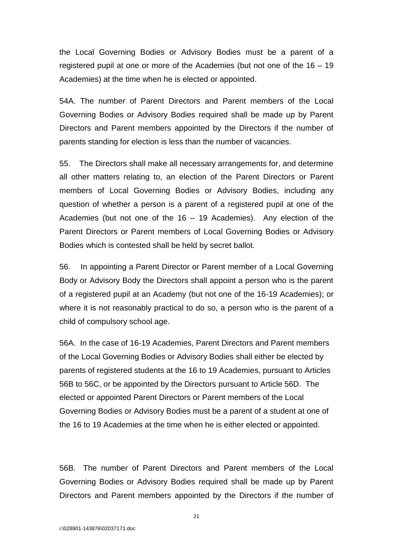the Local Governing Bodies or Advisory Bodies must be a parent of a registered pupil at one or more of the Academies (but not one of the 16 – 19 Academies) at the time when he is elected or appointed.

54A. The number of Parent Directors and Parent members of the Local Governing Bodies or Advisory Bodies required shall be made up by Parent Directors and Parent members appointed by the Directors if the number of parents standing for election is less than the number of vacancies.

55. The Directors shall make all necessary arrangements for, and determine all other matters relating to, an election of the Parent Directors or Parent members of Local Governing Bodies or Advisory Bodies, including any question of whether a person is a parent of a registered pupil at one of the Academies (but not one of the 16 – 19 Academies). Any election of the Parent Directors or Parent members of Local Governing Bodies or Advisory Bodies which is contested shall be held by secret ballot.

56. In appointing a Parent Director or Parent member of a Local Governing Body or Advisory Body the Directors shall appoint a person who is the parent of a registered pupil at an Academy (but not one of the 16-19 Academies); or where it is not reasonably practical to do so, a person who is the parent of a child of compulsory school age.

56A. In the case of 16-19 Academies, Parent Directors and Parent members of the Local Governing Bodies or Advisory Bodies shall either be elected by parents of registered students at the 16 to 19 Academies, pursuant to Articles 56B to 56C, or be appointed by the Directors pursuant to Article 56D. The elected or appointed Parent Directors or Parent members of the Local Governing Bodies or Advisory Bodies must be a parent of a student at one of the 16 to 19 Academies at the time when he is either elected or appointed.

56B. The number of Parent Directors and Parent members of the Local Governing Bodies or Advisory Bodies required shall be made up by Parent Directors and Parent members appointed by the Directors if the number of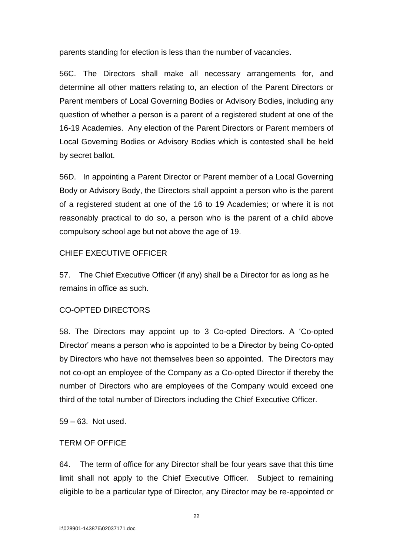parents standing for election is less than the number of vacancies.

56C. The Directors shall make all necessary arrangements for, and determine all other matters relating to, an election of the Parent Directors or Parent members of Local Governing Bodies or Advisory Bodies, including any question of whether a person is a parent of a registered student at one of the 16-19 Academies. Any election of the Parent Directors or Parent members of Local Governing Bodies or Advisory Bodies which is contested shall be held by secret ballot.

56D. In appointing a Parent Director or Parent member of a Local Governing Body or Advisory Body, the Directors shall appoint a person who is the parent of a registered student at one of the 16 to 19 Academies; or where it is not reasonably practical to do so, a person who is the parent of a child above compulsory school age but not above the age of 19.

# CHIEF EXECUTIVE OFFICER

57. The Chief Executive Officer (if any) shall be a Director for as long as he remains in office as such.

# CO-OPTED DIRECTORS

58. The Directors may appoint up to 3 Co-opted Directors. A 'Co-opted Director' means a person who is appointed to be a Director by being Co-opted by Directors who have not themselves been so appointed. The Directors may not co-opt an employee of the Company as a Co-opted Director if thereby the number of Directors who are employees of the Company would exceed one third of the total number of Directors including the Chief Executive Officer.

59 – 63. Not used.

# TERM OF OFFICE

64. The term of office for any Director shall be four years save that this time limit shall not apply to the Chief Executive Officer. Subject to remaining eligible to be a particular type of Director, any Director may be re-appointed or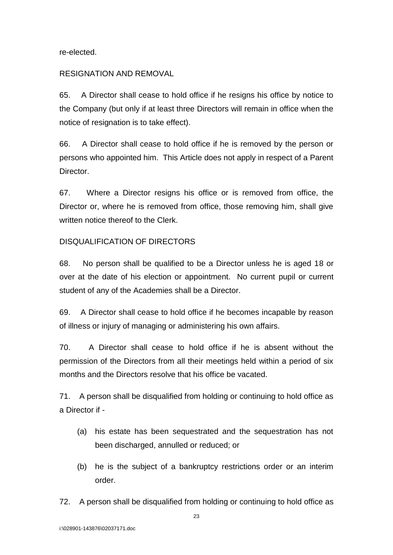re-elected.

# RESIGNATION AND REMOVAL

65. A Director shall cease to hold office if he resigns his office by notice to the Company (but only if at least three Directors will remain in office when the notice of resignation is to take effect).

66. A Director shall cease to hold office if he is removed by the person or persons who appointed him. This Article does not apply in respect of a Parent Director.

67. Where a Director resigns his office or is removed from office, the Director or, where he is removed from office, those removing him, shall give written notice thereof to the Clerk.

# DISQUALIFICATION OF DIRECTORS

68. No person shall be qualified to be a Director unless he is aged 18 or over at the date of his election or appointment. No current pupil or current student of any of the Academies shall be a Director.

69. A Director shall cease to hold office if he becomes incapable by reason of illness or injury of managing or administering his own affairs.

70. A Director shall cease to hold office if he is absent without the permission of the Directors from all their meetings held within a period of six months and the Directors resolve that his office be vacated.

71. A person shall be disqualified from holding or continuing to hold office as a Director if -

- (a) his estate has been sequestrated and the sequestration has not been discharged, annulled or reduced; or
- (b) he is the subject of a bankruptcy restrictions order or an interim order.
- 72. A person shall be disqualified from holding or continuing to hold office as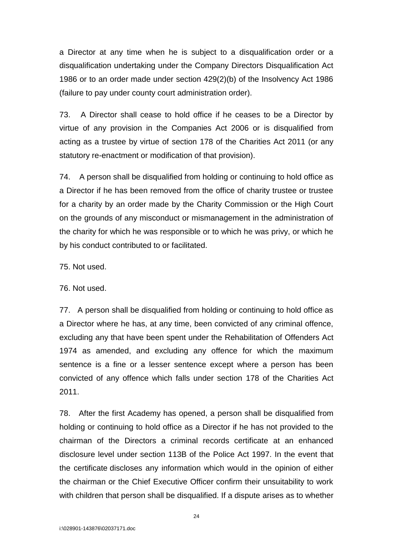a Director at any time when he is subject to a disqualification order or a disqualification undertaking under the Company Directors Disqualification Act 1986 or to an order made under section 429(2)(b) of the Insolvency Act 1986 (failure to pay under county court administration order).

73. A Director shall cease to hold office if he ceases to be a Director by virtue of any provision in the Companies Act 2006 or is disqualified from acting as a trustee by virtue of section 178 of the Charities Act 2011 (or any statutory re-enactment or modification of that provision).

74. A person shall be disqualified from holding or continuing to hold office as a Director if he has been removed from the office of charity trustee or trustee for a charity by an order made by the Charity Commission or the High Court on the grounds of any misconduct or mismanagement in the administration of the charity for which he was responsible or to which he was privy, or which he by his conduct contributed to or facilitated.

75. Not used.

76. Not used.

77. A person shall be disqualified from holding or continuing to hold office as a Director where he has, at any time, been convicted of any criminal offence, excluding any that have been spent under the Rehabilitation of Offenders Act 1974 as amended, and excluding any offence for which the maximum sentence is a fine or a lesser sentence except where a person has been convicted of any offence which falls under section 178 of the Charities Act 2011.

78. After the first Academy has opened, a person shall be disqualified from holding or continuing to hold office as a Director if he has not provided to the chairman of the Directors a criminal records certificate at an enhanced disclosure level under section 113B of the Police Act 1997. In the event that the certificate discloses any information which would in the opinion of either the chairman or the Chief Executive Officer confirm their unsuitability to work with children that person shall be disqualified. If a dispute arises as to whether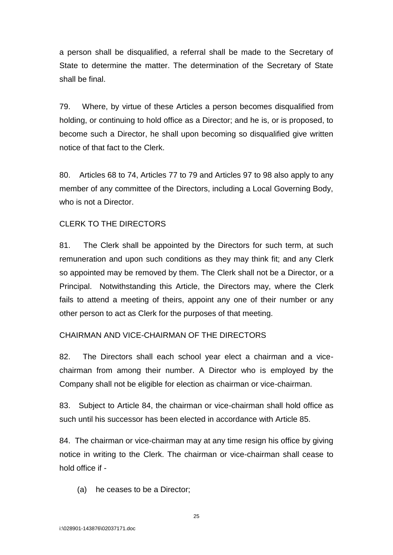a person shall be disqualified, a referral shall be made to the Secretary of State to determine the matter. The determination of the Secretary of State shall be final.

79. Where, by virtue of these Articles a person becomes disqualified from holding, or continuing to hold office as a Director; and he is, or is proposed, to become such a Director, he shall upon becoming so disqualified give written notice of that fact to the Clerk.

80. Articles 68 to 74, Articles 77 to 79 and Articles 97 to 98 also apply to any member of any committee of the Directors, including a Local Governing Body, who is not a Director.

# CLERK TO THE DIRECTORS

81. The Clerk shall be appointed by the Directors for such term, at such remuneration and upon such conditions as they may think fit; and any Clerk so appointed may be removed by them. The Clerk shall not be a Director, or a Principal. Notwithstanding this Article, the Directors may, where the Clerk fails to attend a meeting of theirs, appoint any one of their number or any other person to act as Clerk for the purposes of that meeting.

# CHAIRMAN AND VICE-CHAIRMAN OF THE DIRECTORS

82. The Directors shall each school year elect a chairman and a vicechairman from among their number. A Director who is employed by the Company shall not be eligible for election as chairman or vice-chairman.

83. Subject to Article 84, the chairman or vice-chairman shall hold office as such until his successor has been elected in accordance with Article 85.

84. The chairman or vice-chairman may at any time resign his office by giving notice in writing to the Clerk. The chairman or vice-chairman shall cease to hold office if -

(a) he ceases to be a Director;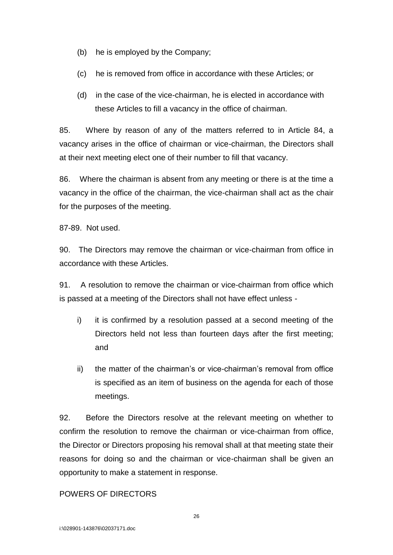- (b) he is employed by the Company;
- (c) he is removed from office in accordance with these Articles; or
- (d) in the case of the vice-chairman, he is elected in accordance with these Articles to fill a vacancy in the office of chairman.

85. Where by reason of any of the matters referred to in Article 84, a vacancy arises in the office of chairman or vice-chairman, the Directors shall at their next meeting elect one of their number to fill that vacancy.

86. Where the chairman is absent from any meeting or there is at the time a vacancy in the office of the chairman, the vice-chairman shall act as the chair for the purposes of the meeting.

87-89. Not used.

90. The Directors may remove the chairman or vice-chairman from office in accordance with these Articles.

91. A resolution to remove the chairman or vice-chairman from office which is passed at a meeting of the Directors shall not have effect unless -

- i) it is confirmed by a resolution passed at a second meeting of the Directors held not less than fourteen days after the first meeting; and
- ii) the matter of the chairman's or vice-chairman's removal from office is specified as an item of business on the agenda for each of those meetings.

92. Before the Directors resolve at the relevant meeting on whether to confirm the resolution to remove the chairman or vice-chairman from office, the Director or Directors proposing his removal shall at that meeting state their reasons for doing so and the chairman or vice-chairman shall be given an opportunity to make a statement in response.

# POWERS OF DIRECTORS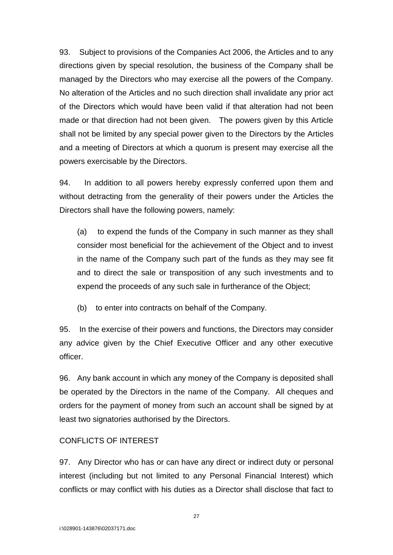93. Subject to provisions of the Companies Act 2006, the Articles and to any directions given by special resolution, the business of the Company shall be managed by the Directors who may exercise all the powers of the Company. No alteration of the Articles and no such direction shall invalidate any prior act of the Directors which would have been valid if that alteration had not been made or that direction had not been given. The powers given by this Article shall not be limited by any special power given to the Directors by the Articles and a meeting of Directors at which a quorum is present may exercise all the powers exercisable by the Directors.

94. In addition to all powers hereby expressly conferred upon them and without detracting from the generality of their powers under the Articles the Directors shall have the following powers, namely:

(a) to expend the funds of the Company in such manner as they shall consider most beneficial for the achievement of the Object and to invest in the name of the Company such part of the funds as they may see fit and to direct the sale or transposition of any such investments and to expend the proceeds of any such sale in furtherance of the Object;

(b) to enter into contracts on behalf of the Company.

95. In the exercise of their powers and functions, the Directors may consider any advice given by the Chief Executive Officer and any other executive officer.

96. Any bank account in which any money of the Company is deposited shall be operated by the Directors in the name of the Company. All cheques and orders for the payment of money from such an account shall be signed by at least two signatories authorised by the Directors.

# CONFLICTS OF INTEREST

97. Any Director who has or can have any direct or indirect duty or personal interest (including but not limited to any Personal Financial Interest) which conflicts or may conflict with his duties as a Director shall disclose that fact to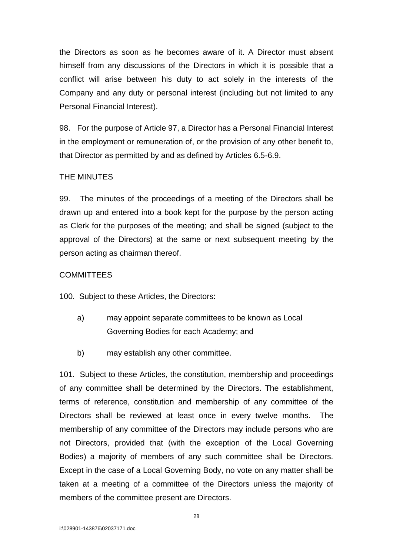the Directors as soon as he becomes aware of it. A Director must absent himself from any discussions of the Directors in which it is possible that a conflict will arise between his duty to act solely in the interests of the Company and any duty or personal interest (including but not limited to any Personal Financial Interest).

98. For the purpose of Article 97, a Director has a Personal Financial Interest in the employment or remuneration of, or the provision of any other benefit to, that Director as permitted by and as defined by Articles 6.5-6.9.

# THE MINUTES

99. The minutes of the proceedings of a meeting of the Directors shall be drawn up and entered into a book kept for the purpose by the person acting as Clerk for the purposes of the meeting; and shall be signed (subject to the approval of the Directors) at the same or next subsequent meeting by the person acting as chairman thereof.

### **COMMITTEES**

100. Subject to these Articles, the Directors:

- a) may appoint separate committees to be known as Local Governing Bodies for each Academy; and
- b) may establish any other committee.

101. Subject to these Articles, the constitution, membership and proceedings of any committee shall be determined by the Directors. The establishment, terms of reference, constitution and membership of any committee of the Directors shall be reviewed at least once in every twelve months. The membership of any committee of the Directors may include persons who are not Directors, provided that (with the exception of the Local Governing Bodies) a majority of members of any such committee shall be Directors. Except in the case of a Local Governing Body, no vote on any matter shall be taken at a meeting of a committee of the Directors unless the majority of members of the committee present are Directors.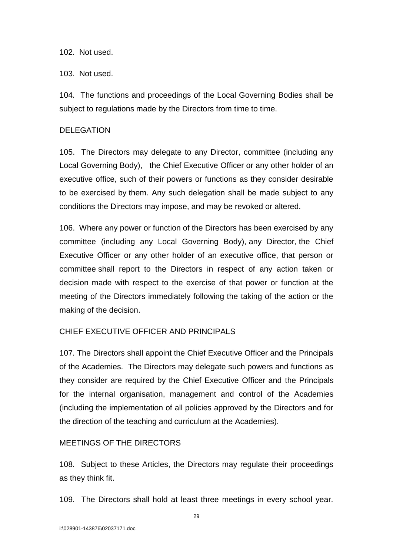### 102. Not used.

# 103. Not used.

104. The functions and proceedings of the Local Governing Bodies shall be subject to regulations made by the Directors from time to time.

# DELEGATION

105. The Directors may delegate to any Director, committee (including any Local Governing Body), the Chief Executive Officer or any other holder of an executive office, such of their powers or functions as they consider desirable to be exercised by them. Any such delegation shall be made subject to any conditions the Directors may impose, and may be revoked or altered.

106. Where any power or function of the Directors has been exercised by any committee (including any Local Governing Body), any Director, the Chief Executive Officer or any other holder of an executive office, that person or committee shall report to the Directors in respect of any action taken or decision made with respect to the exercise of that power or function at the meeting of the Directors immediately following the taking of the action or the making of the decision.

# CHIEF EXECUTIVE OFFICER AND PRINCIPALS

107. The Directors shall appoint the Chief Executive Officer and the Principals of the Academies. The Directors may delegate such powers and functions as they consider are required by the Chief Executive Officer and the Principals for the internal organisation, management and control of the Academies (including the implementation of all policies approved by the Directors and for the direction of the teaching and curriculum at the Academies).

# MEETINGS OF THE DIRECTORS

108. Subject to these Articles, the Directors may regulate their proceedings as they think fit.

109. The Directors shall hold at least three meetings in every school year.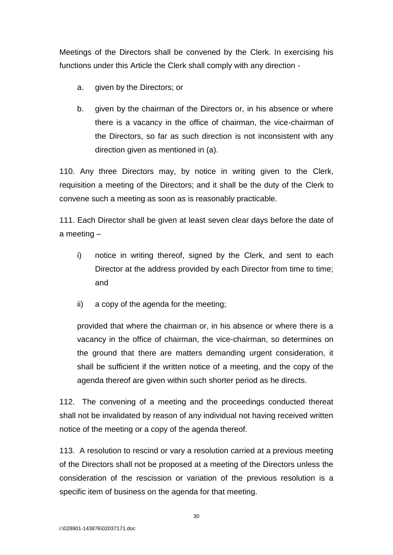Meetings of the Directors shall be convened by the Clerk. In exercising his functions under this Article the Clerk shall comply with any direction -

- a. given by the Directors; or
- b. given by the chairman of the Directors or, in his absence or where there is a vacancy in the office of chairman, the vice-chairman of the Directors, so far as such direction is not inconsistent with any direction given as mentioned in (a).

110. Any three Directors may, by notice in writing given to the Clerk, requisition a meeting of the Directors; and it shall be the duty of the Clerk to convene such a meeting as soon as is reasonably practicable.

111. Each Director shall be given at least seven clear days before the date of a meeting –

- i) notice in writing thereof, signed by the Clerk, and sent to each Director at the address provided by each Director from time to time; and
- ii) a copy of the agenda for the meeting;

provided that where the chairman or, in his absence or where there is a vacancy in the office of chairman, the vice-chairman, so determines on the ground that there are matters demanding urgent consideration, it shall be sufficient if the written notice of a meeting, and the copy of the agenda thereof are given within such shorter period as he directs.

112. The convening of a meeting and the proceedings conducted thereat shall not be invalidated by reason of any individual not having received written notice of the meeting or a copy of the agenda thereof.

113. A resolution to rescind or vary a resolution carried at a previous meeting of the Directors shall not be proposed at a meeting of the Directors unless the consideration of the rescission or variation of the previous resolution is a specific item of business on the agenda for that meeting.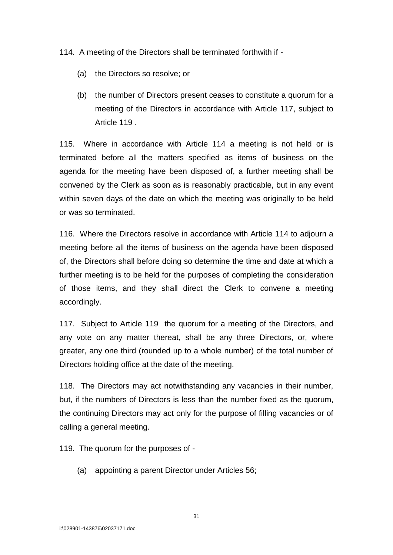114. A meeting of the Directors shall be terminated forthwith if -

- (a) the Directors so resolve; or
- (b) the number of Directors present ceases to constitute a quorum for a meeting of the Directors in accordance with Article 117, subject to Article 119 .

115. Where in accordance with Article 114 a meeting is not held or is terminated before all the matters specified as items of business on the agenda for the meeting have been disposed of, a further meeting shall be convened by the Clerk as soon as is reasonably practicable, but in any event within seven days of the date on which the meeting was originally to be held or was so terminated.

116. Where the Directors resolve in accordance with Article 114 to adjourn a meeting before all the items of business on the agenda have been disposed of, the Directors shall before doing so determine the time and date at which a further meeting is to be held for the purposes of completing the consideration of those items, and they shall direct the Clerk to convene a meeting accordingly.

117. Subject to Article 119 the quorum for a meeting of the Directors, and any vote on any matter thereat, shall be any three Directors, or, where greater, any one third (rounded up to a whole number) of the total number of Directors holding office at the date of the meeting.

118. The Directors may act notwithstanding any vacancies in their number, but, if the numbers of Directors is less than the number fixed as the quorum, the continuing Directors may act only for the purpose of filling vacancies or of calling a general meeting.

119. The quorum for the purposes of -

(a) appointing a parent Director under Articles 56;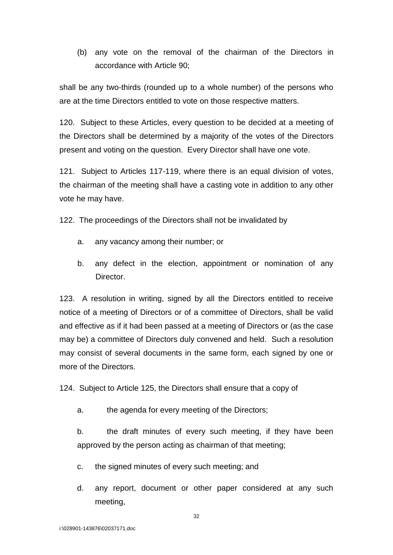(b) any vote on the removal of the chairman of the Directors in accordance with Article 90;

shall be any two-thirds (rounded up to a whole number) of the persons who are at the time Directors entitled to vote on those respective matters.

120. Subject to these Articles, every question to be decided at a meeting of the Directors shall be determined by a majority of the votes of the Directors present and voting on the question. Every Director shall have one vote.

121. Subject to Articles 117-119, where there is an equal division of votes, the chairman of the meeting shall have a casting vote in addition to any other vote he may have.

122. The proceedings of the Directors shall not be invalidated by

- a. any vacancy among their number; or
- b. any defect in the election, appointment or nomination of any Director.

123. A resolution in writing, signed by all the Directors entitled to receive notice of a meeting of Directors or of a committee of Directors, shall be valid and effective as if it had been passed at a meeting of Directors or (as the case may be) a committee of Directors duly convened and held. Such a resolution may consist of several documents in the same form, each signed by one or more of the Directors.

124. Subject to Article 125, the Directors shall ensure that a copy of

a. the agenda for every meeting of the Directors;

b. the draft minutes of every such meeting, if they have been approved by the person acting as chairman of that meeting;

- c. the signed minutes of every such meeting; and
- d. any report, document or other paper considered at any such meeting,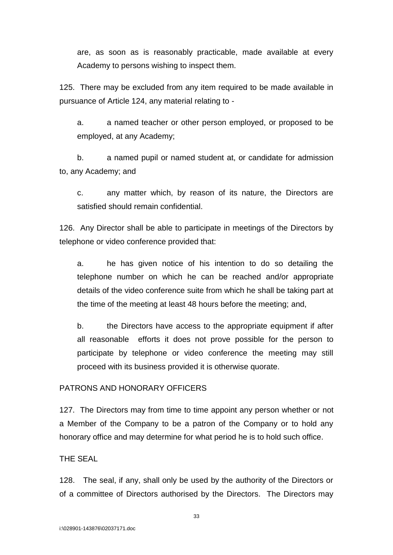are, as soon as is reasonably practicable, made available at every Academy to persons wishing to inspect them.

125. There may be excluded from any item required to be made available in pursuance of Article 124, any material relating to -

a. a named teacher or other person employed, or proposed to be employed, at any Academy;

b. a named pupil or named student at, or candidate for admission to, any Academy; and

c. any matter which, by reason of its nature, the Directors are satisfied should remain confidential.

126. Any Director shall be able to participate in meetings of the Directors by telephone or video conference provided that:

a. he has given notice of his intention to do so detailing the telephone number on which he can be reached and/or appropriate details of the video conference suite from which he shall be taking part at the time of the meeting at least 48 hours before the meeting; and,

b. the Directors have access to the appropriate equipment if after all reasonable efforts it does not prove possible for the person to participate by telephone or video conference the meeting may still proceed with its business provided it is otherwise quorate.

# PATRONS AND HONORARY OFFICERS

127. The Directors may from time to time appoint any person whether or not a Member of the Company to be a patron of the Company or to hold any honorary office and may determine for what period he is to hold such office.

THE SEAL

128. The seal, if any, shall only be used by the authority of the Directors or of a committee of Directors authorised by the Directors. The Directors may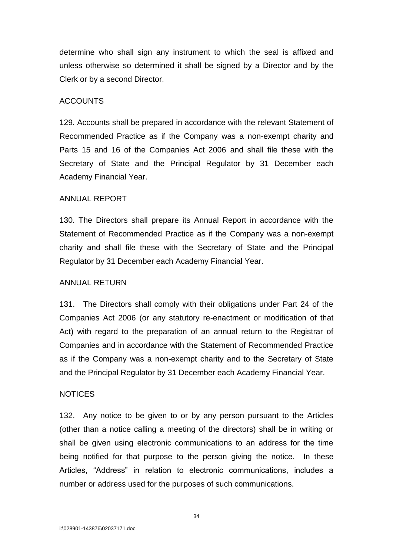determine who shall sign any instrument to which the seal is affixed and unless otherwise so determined it shall be signed by a Director and by the Clerk or by a second Director.

#### ACCOUNTS

129. Accounts shall be prepared in accordance with the relevant Statement of Recommended Practice as if the Company was a non-exempt charity and Parts 15 and 16 of the Companies Act 2006 and shall file these with the Secretary of State and the Principal Regulator by 31 December each Academy Financial Year.

#### ANNUAL REPORT

130. The Directors shall prepare its Annual Report in accordance with the Statement of Recommended Practice as if the Company was a non-exempt charity and shall file these with the Secretary of State and the Principal Regulator by 31 December each Academy Financial Year.

#### ANNUAL RETURN

131. The Directors shall comply with their obligations under Part 24 of the Companies Act 2006 (or any statutory re-enactment or modification of that Act) with regard to the preparation of an annual return to the Registrar of Companies and in accordance with the Statement of Recommended Practice as if the Company was a non-exempt charity and to the Secretary of State and the Principal Regulator by 31 December each Academy Financial Year.

#### NOTICES

132. Any notice to be given to or by any person pursuant to the Articles (other than a notice calling a meeting of the directors) shall be in writing or shall be given using electronic communications to an address for the time being notified for that purpose to the person giving the notice. In these Articles, "Address" in relation to electronic communications, includes a number or address used for the purposes of such communications.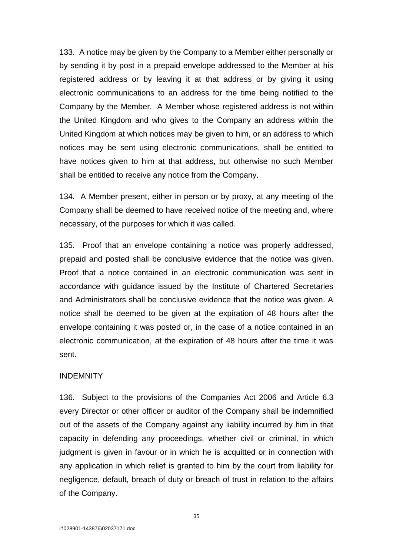133. A notice may be given by the Company to a Member either personally or by sending it by post in a prepaid envelope addressed to the Member at his registered address or by leaving it at that address or by giving it using electronic communications to an address for the time being notified to the Company by the Member. A Member whose registered address is not within the United Kingdom and who gives to the Company an address within the United Kingdom at which notices may be given to him, or an address to which notices may be sent using electronic communications, shall be entitled to have notices given to him at that address, but otherwise no such Member shall be entitled to receive any notice from the Company.

134. A Member present, either in person or by proxy, at any meeting of the Company shall be deemed to have received notice of the meeting and, where necessary, of the purposes for which it was called.

135. Proof that an envelope containing a notice was properly addressed, prepaid and posted shall be conclusive evidence that the notice was given. Proof that a notice contained in an electronic communication was sent in accordance with guidance issued by the Institute of Chartered Secretaries and Administrators shall be conclusive evidence that the notice was given. A notice shall be deemed to be given at the expiration of 48 hours after the envelope containing it was posted or, in the case of a notice contained in an electronic communication, at the expiration of 48 hours after the time it was sent.

### INDEMNITY

136. Subject to the provisions of the Companies Act 2006 and Article 6.3 every Director or other officer or auditor of the Company shall be indemnified out of the assets of the Company against any liability incurred by him in that capacity in defending any proceedings, whether civil or criminal, in which judgment is given in favour or in which he is acquitted or in connection with any application in which relief is granted to him by the court from liability for negligence, default, breach of duty or breach of trust in relation to the affairs of the Company.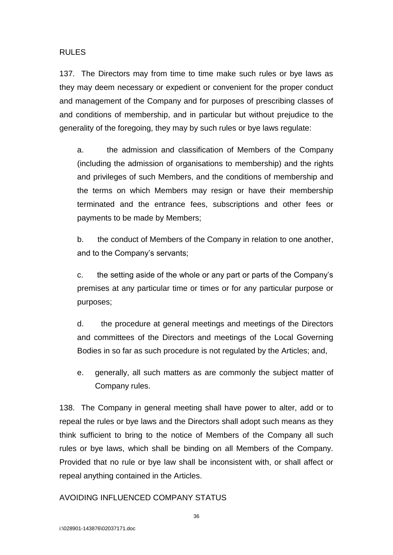### RULES

137. The Directors may from time to time make such rules or bye laws as they may deem necessary or expedient or convenient for the proper conduct and management of the Company and for purposes of prescribing classes of and conditions of membership, and in particular but without prejudice to the generality of the foregoing, they may by such rules or bye laws regulate:

a. the admission and classification of Members of the Company (including the admission of organisations to membership) and the rights and privileges of such Members, and the conditions of membership and the terms on which Members may resign or have their membership terminated and the entrance fees, subscriptions and other fees or payments to be made by Members;

b. the conduct of Members of the Company in relation to one another, and to the Company's servants;

c. the setting aside of the whole or any part or parts of the Company's premises at any particular time or times or for any particular purpose or purposes;

d. the procedure at general meetings and meetings of the Directors and committees of the Directors and meetings of the Local Governing Bodies in so far as such procedure is not regulated by the Articles; and,

e. generally, all such matters as are commonly the subject matter of Company rules.

138. The Company in general meeting shall have power to alter, add or to repeal the rules or bye laws and the Directors shall adopt such means as they think sufficient to bring to the notice of Members of the Company all such rules or bye laws, which shall be binding on all Members of the Company. Provided that no rule or bye law shall be inconsistent with, or shall affect or repeal anything contained in the Articles.

### AVOIDING INFLUENCED COMPANY STATUS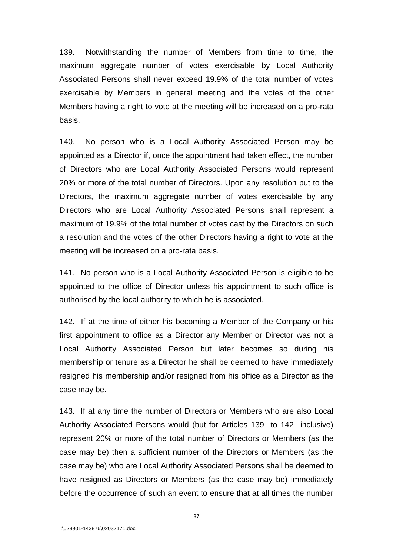139. Notwithstanding the number of Members from time to time, the maximum aggregate number of votes exercisable by Local Authority Associated Persons shall never exceed 19.9% of the total number of votes exercisable by Members in general meeting and the votes of the other Members having a right to vote at the meeting will be increased on a pro-rata basis.

140. No person who is a Local Authority Associated Person may be appointed as a Director if, once the appointment had taken effect, the number of Directors who are Local Authority Associated Persons would represent 20% or more of the total number of Directors. Upon any resolution put to the Directors, the maximum aggregate number of votes exercisable by any Directors who are Local Authority Associated Persons shall represent a maximum of 19.9% of the total number of votes cast by the Directors on such a resolution and the votes of the other Directors having a right to vote at the meeting will be increased on a pro-rata basis.

141. No person who is a Local Authority Associated Person is eligible to be appointed to the office of Director unless his appointment to such office is authorised by the local authority to which he is associated.

142. If at the time of either his becoming a Member of the Company or his first appointment to office as a Director any Member or Director was not a Local Authority Associated Person but later becomes so during his membership or tenure as a Director he shall be deemed to have immediately resigned his membership and/or resigned from his office as a Director as the case may be.

143. If at any time the number of Directors or Members who are also Local Authority Associated Persons would (but for Articles 139 to 142 inclusive) represent 20% or more of the total number of Directors or Members (as the case may be) then a sufficient number of the Directors or Members (as the case may be) who are Local Authority Associated Persons shall be deemed to have resigned as Directors or Members (as the case may be) immediately before the occurrence of such an event to ensure that at all times the number